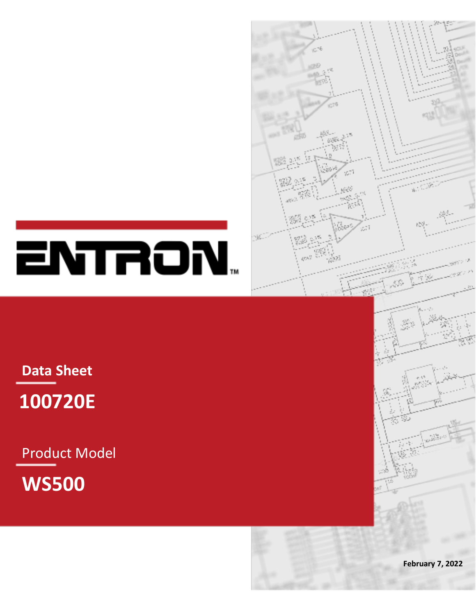

# ENTRON.

**Data Sheet 100720E**

Product Model

**WS500**

**February 7, 2022**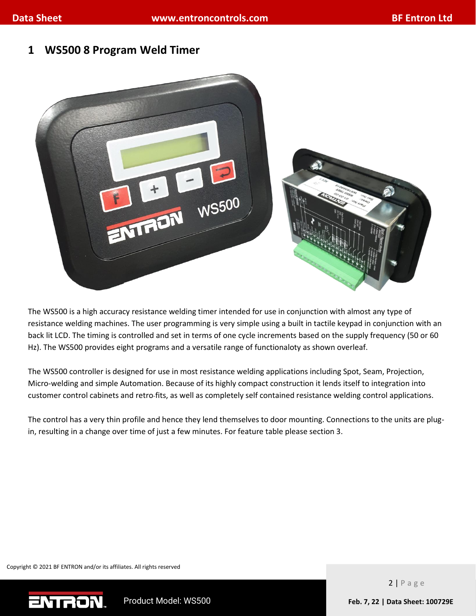### **1 WS500 8 Program Weld Timer**



The WS500 is a high accuracy resistance welding timer intended for use in conjunction with almost any type of resistance welding machines. The user programming is very simple using a built in tactile keypad in conjunction with an back lit LCD. The timing is controlled and set in terms of one cycle increments based on the supply frequency (50 or 60 Hz). The WS500 provides eight programs and a versatile range of functionaloty as shown overleaf.

The WS500 controller is designed for use in most resistance welding applications including Spot, Seam, Projection, Micro-welding and simple Automation. Because of its highly compact construction it lends itself to integration into customer control cabinets and retro-fits, as well as completely self contained resistance welding control applications.

The control has a very thin profile and hence they lend themselves to door mounting. Connections to the units are plugin, resulting in a change over time of just a few minutes. For feature table please section 3.

Copyright © 2021 BF ENTRON and/or its affiliates. All rights reserved



Product Model: WS500 **Feb. 7, 22 | Data Sheet: 100729E** 

 $2 | P \text{ a ge}$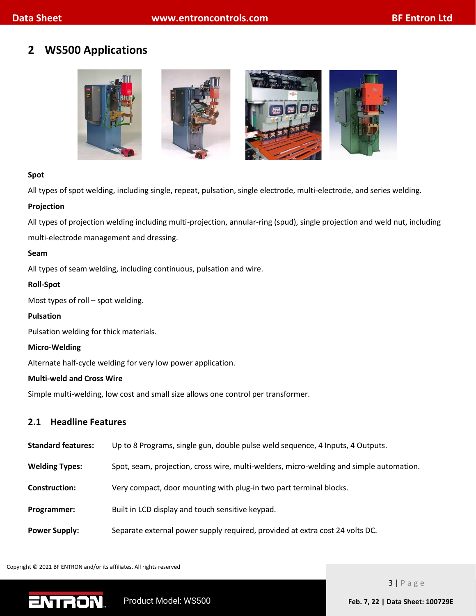### **2 WS500 Applications**



#### **Spot**

All types of spot welding, including single, repeat, pulsation, single electrode, multi-electrode, and series welding.

#### **Projection**

All types of projection welding including multi-projection, annular-ring (spud), single projection and weld nut, including multi-electrode management and dressing.

#### **Seam**

All types of seam welding, including continuous, pulsation and wire.

#### **Roll-Spot**

Most types of roll – spot welding.

#### **Pulsation**

Pulsation welding for thick materials.

#### **Micro-Welding**

Alternate half-cycle welding for very low power application.

#### **Multi-weld and Cross Wire**

Simple multi-welding, low cost and small size allows one control per transformer.

#### **2.1 Headline Features**

| <b>Standard features:</b> | Up to 8 Programs, single gun, double pulse weld sequence, 4 Inputs, 4 Outputs.          |  |
|---------------------------|-----------------------------------------------------------------------------------------|--|
| <b>Welding Types:</b>     | Spot, seam, projection, cross wire, multi-welders, micro-welding and simple automation. |  |
| <b>Construction:</b>      | Very compact, door mounting with plug-in two part terminal blocks.                      |  |
| Programmer:               | Built in LCD display and touch sensitive keypad.                                        |  |
| <b>Power Supply:</b>      | Separate external power supply required, provided at extra cost 24 volts DC.            |  |

Copyright © 2021 BF ENTRON and/or its affiliates. All rights reserved



Product Model: WS500 **Feb. 7, 22 | Data Sheet: 100729E** 

3 | P a g e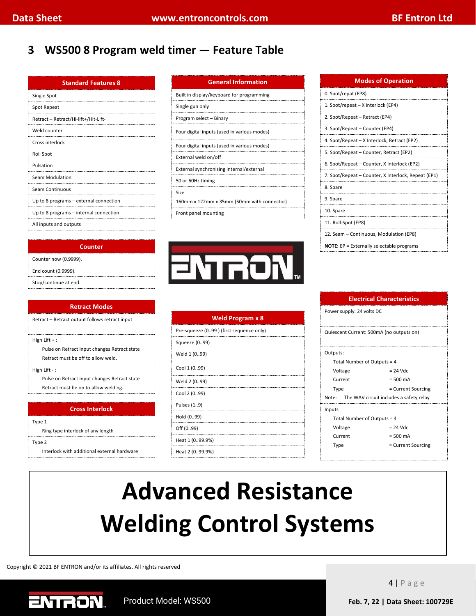# **3 WS500 8 Program weld timer — Feature Table**

#### **Standard Features 8**

| Single Spot                            |
|----------------------------------------|
| Spot Repeat                            |
| Retract - Retract/Hi-lift+/Hit-Lift-   |
| Weld counter                           |
| Cross interlock                        |
| Roll Spot                              |
| Pulsation                              |
| Seam Modulation                        |
| Seam Continuous                        |
| Up to 8 programs - external connection |
| Up to 8 programs - internal connection |
| All inputs and outputs                 |

# **Counter**

| Counter now (0.9999). |  |  |
|-----------------------|--|--|
| End count (0.9999).   |  |  |
| Stop/continue at end. |  |  |

#### **Retract Modes**

| Retract – Retract output follows retract input |
|------------------------------------------------|
| High Lift $+$ :                                |
| Pulse on Retract input changes Retract state   |
| Retract must be off to allow weld.             |
| High Lift -:                                   |
| Pulse on Retract input changes Retract state   |
| Retract must be on to allow welding.           |
|                                                |
| <b>Cross Interlock</b>                         |

#### **Cross Interlock**

| Type 1                                      |
|---------------------------------------------|
| Ring type interlock of any length           |
| Type 2                                      |
| Interlock with additional external hardware |

#### **General Information**

| Built in display/keyboard for programming   |  |  |
|---------------------------------------------|--|--|
| Single gun only                             |  |  |
| Program select - Binary                     |  |  |
| Four digital inputs (used in various modes) |  |  |
| Four digital inputs (used in various modes) |  |  |
| External weld on/off                        |  |  |
| External synchronising internal/external    |  |  |
| 50 or 60Hz timing                           |  |  |
| Size                                        |  |  |
| 160mm x 122mm x 35mm (50mm with connector)  |  |  |
| Front panel mounting                        |  |  |



| <b>Weld Program x 8</b>                 |
|-----------------------------------------|
| Pre-squeeze (099) (first sequence only) |
| Squeeze (099)                           |
| Weld 1 (099)                            |
| Cool 1 (099)                            |
| Weld 2 (099)                            |
| Cool 2 (099)                            |
| Pulses (19)                             |
| Hold (099)                              |
| Off (099)                               |
| Heat 1 (099.9%)                         |
| Heat 2 (099.9%)                         |

| <b>Modes of Operation</b>                           |  |  |  |  |
|-----------------------------------------------------|--|--|--|--|
| 0. Spot/repat (EP8)                                 |  |  |  |  |
| 1. Spot/repeat - X interlock (EP4)                  |  |  |  |  |
| 2. Spot/Repeat – Retract (EP4)                      |  |  |  |  |
| 3. Spot/Repeat - Counter (EP4)                      |  |  |  |  |
| 4. Spot/Repeat – X Interlock, Retract (EP2)         |  |  |  |  |
| 5. Spot/Repeat - Counter, Retract (EP2)             |  |  |  |  |
| 6. Spot/Repeat - Counter, X Interlock (EP2)         |  |  |  |  |
| 7. Spot/Repeat – Counter, X Interlock, Repeat (EP1) |  |  |  |  |
| 8. Spare                                            |  |  |  |  |
| 9. Spare                                            |  |  |  |  |
| 10. Spare                                           |  |  |  |  |
| 11. Roll-Spot (EP8)                                 |  |  |  |  |
| 12. Seam – Continuous, Modulation (EP8)             |  |  |  |  |
| <b>NOTE:</b> EP = Externally selectable programs    |  |  |  |  |

|         | <b>Electrical Characteristics</b>             |                    |  |  |  |
|---------|-----------------------------------------------|--------------------|--|--|--|
|         | Power supply: 24 volts DC                     |                    |  |  |  |
|         | Quiescent Current: 500mA (no outputs on)      |                    |  |  |  |
|         | Outputs:                                      |                    |  |  |  |
|         | Total Number of Outputs = 4                   |                    |  |  |  |
|         | Voltage                                       | $= 24$ Vdc         |  |  |  |
|         | Current                                       | $= 500 \text{ mA}$ |  |  |  |
|         | Type                                          | = Current Sourcing |  |  |  |
|         | Note: The WAV circuit includes a safety relay |                    |  |  |  |
|         | Inputs                                        |                    |  |  |  |
|         | Total Number of Outputs = 4                   |                    |  |  |  |
| Voltage |                                               | $= 24$ Vdc         |  |  |  |
| Current |                                               | $= 500 \text{ mA}$ |  |  |  |
| Type    |                                               | = Current Sourcing |  |  |  |
|         |                                               |                    |  |  |  |

# **Advanced Resistance Welding Control Systems**

Copyright © 2021 BF ENTRON and/or its affiliates. All rights reserved



Product Model: WS500 **Feb. 7, 22 | Data Sheet: 100729E** 

4 | P a g e